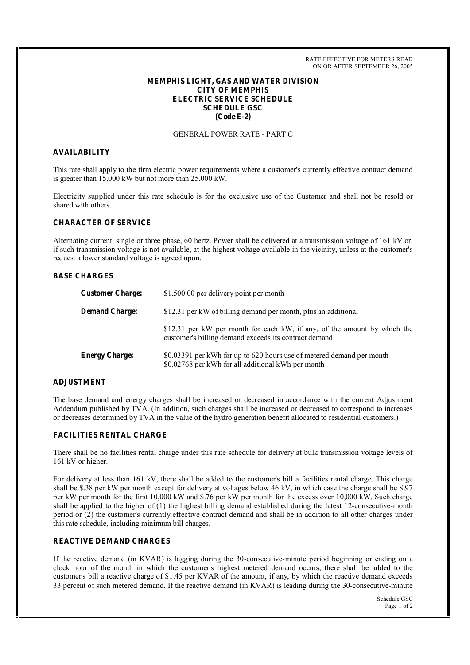RATE EFFECTIVE FOR METERS READ ON OR AFTER SEPTEMBER 26, 2005

## **MEMPHIS LIGHT, GAS AND WATER DIVISION CITY OF MEMPHIS ELECTRIC SERVICE SCHEDULE SCHEDULE GSC (Code E-2)**

# GENERAL POWER RATE - PART C

#### **AVAILABILITY**

This rate shall apply to the firm electric power requirements where a customer's currently effective contract demand is greater than 15,000 kW but not more than 25,000 kW.

Electricity supplied under this rate schedule is for the exclusive use of the Customer and shall not be resold or shared with others.

# **CHARACTER OF SERVICE**

Alternating current, single or three phase, 60 hertz. Power shall be delivered at a transmission voltage of 161 kV or, if such transmission voltage is not available, at the highest voltage available in the vicinity, unless at the customer's request a lower standard voltage is agreed upon.

## **BASE CHARGES**

| <b>Customer Charge:</b> | \$1,500.00 per delivery point per month                                                                                           |
|-------------------------|-----------------------------------------------------------------------------------------------------------------------------------|
| <b>Demand Charge:</b>   | \$12.31 per kW of billing demand per month, plus an additional                                                                    |
|                         | \$12.31 per kW per month for each kW, if any, of the amount by which the<br>customer's billing demand exceeds its contract demand |
| <b>Energy Charge:</b>   | \$0.03391 per kWh for up to 620 hours use of metered demand per month<br>\$0.02768 per kWh for all additional kWh per month       |

### **ADJUSTMENT**

The base demand and energy charges shall be increased or decreased in accordance with the current Adjustment Addendum published by TVA. (In addition, such charges shall be increased or decreased to correspond to increases or decreases determined by TVA in the value of the hydro generation benefit allocated to residential customers.)

### **FACILITIES RENTAL CHARGE**

There shall be no facilities rental charge under this rate schedule for delivery at bulk transmission voltage levels of 161 kV or higher.

For delivery at less than 161 kV, there shall be added to the customer's bill a facilities rental charge. This charge shall be  $$.38$  per kW per month except for delivery at voltages below 46 kV, in which case the charge shall be  $$.97$ per kW per month for the first 10,000 kW and \$.76 per kW per month for the excess over 10,000 kW. Such charge shall be applied to the higher of (1) the highest billing demand established during the latest 12-consecutive-month period or (2) the customer's currently effective contract demand and shall be in addition to all other charges under this rate schedule, including minimum bill charges.

## **REACTIVE DEMAND CHARGES**

If the reactive demand (in KVAR) is lagging during the 30-consecutive-minute period beginning or ending on a clock hour of the month in which the customer's highest metered demand occurs, there shall be added to the customer's bill a reactive charge of \$1.45 per KVAR of the amount, if any, by which the reactive demand exceeds 33 percent of such metered demand. If the reactive demand (in KVAR) is leading during the 30-consecutive-minute